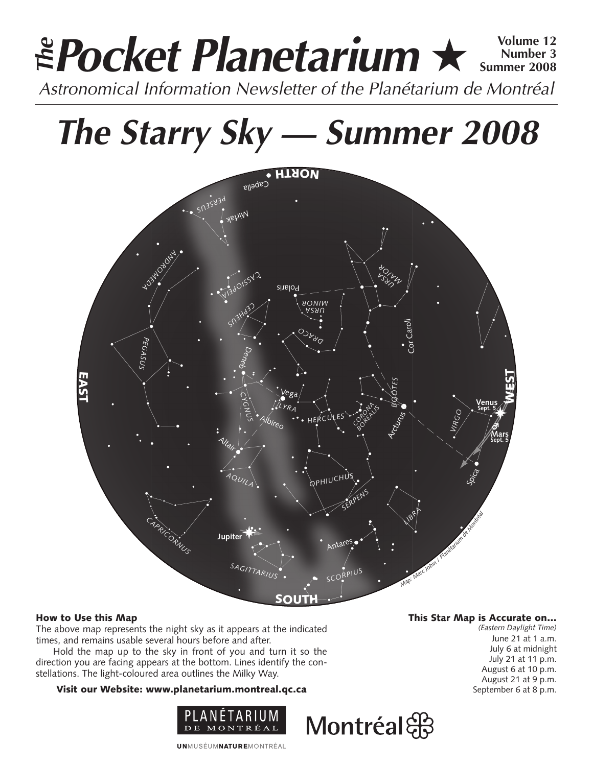### **Pocket Planetarium** ★ **Volume 12** Astronomical Information Newsletter of the Planétarium de Montréal **The Number 3 Summer 2008**

## **The Starry Sky — Summer 2008**



#### How to Use this Map

The above map represents the night sky as it appears at the indicated times, and remains usable several hours before and after.

Hold the map up to the sky in front of you and turn it so the direction you are facing appears at the bottom. Lines identify the constellations. The light-coloured area outlines the Milky Way.

#### Visit our Website: www.planetarium.montreal.qc.ca



This Star Map is Accurate on…

*(Eastern Daylight Time)* June 21 at 1 a.m. July 6 at midnight July 21 at 11 p.m. August 6 at 10 p.m. August 21 at 9 p.m. September 6 at 8 p.m.

**UNMUSÉUMNATUREMONTRÉAL** 

### Montréal